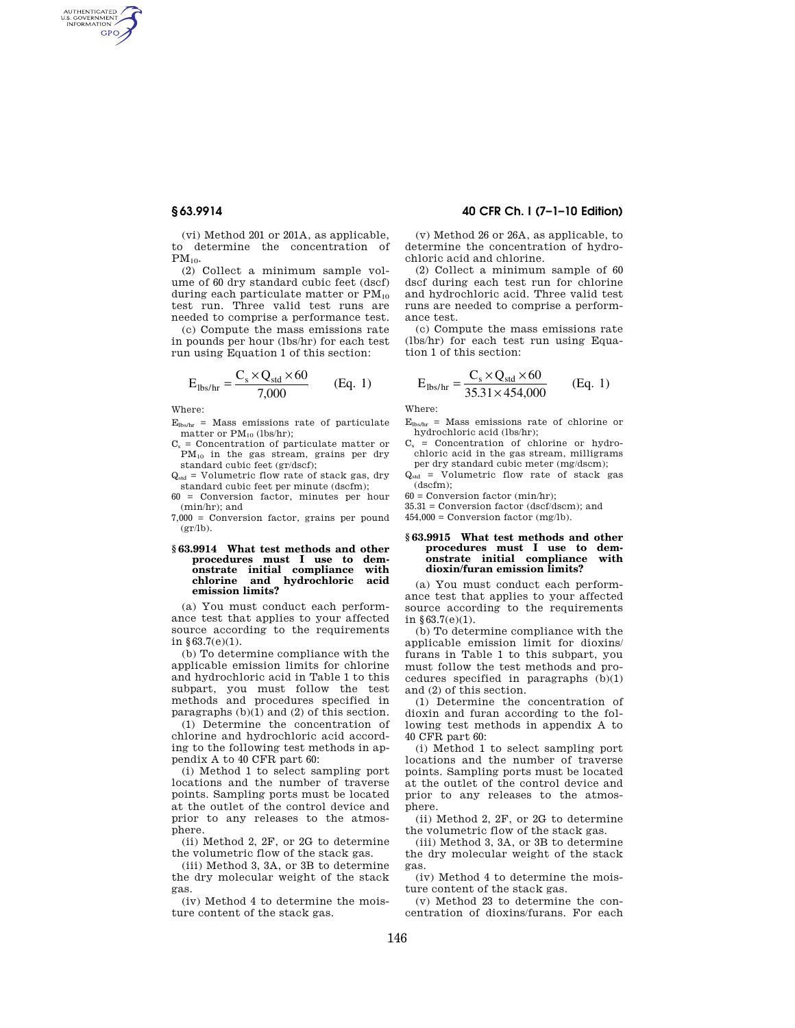AUTHENTICATED<br>U.S. GOVERNMENT<br>INFORMATION GPO

> (vi) Method 201 or 201A, as applicable, to determine the concentration of  $PM_{10}$ .

> (2) Collect a minimum sample volume of 60 dry standard cubic feet (dscf) during each particulate matter or  $PM_{10}$ test run. Three valid test runs are needed to comprise a performance test.

(c) Compute the mass emissions rate in pounds per hour (lbs/hr) for each test run using Equation 1 of this section:

$$
E_{\text{lbs/hr}} = \frac{C_s \times Q_{\text{std}} \times 60}{7,000}
$$
 (Eq. 1)

Where:

 $E_{\text{lbs/hr}}$  = Mass emissions rate of particulate matter or  $PM_{10}$  (lbs/hr);

 $C_s$  = Concentration of particulate matter or PM<sup>10</sup> in the gas stream, grains per dry standard cubic feet (gr/dscf);

 $Q_{std}$  = Volumetric flow rate of stack gas, dry standard cubic feet per minute (dscfm);

60 = Conversion factor, minutes per hour (min/hr); and

7,000 = Conversion factor, grains per pound  $(gr/lb)$ .

### **§ 63.9914 What test methods and other procedures must I use to demonstrate initial compliance with chlorine and hydrochloric acid emission limits?**

(a) You must conduct each performance test that applies to your affected source according to the requirements in §63.7(e)(1).

(b) To determine compliance with the applicable emission limits for chlorine and hydrochloric acid in Table 1 to this subpart, you must follow the test methods and procedures specified in paragraphs  $(b)(1)$  and  $(2)$  of this section.

(1) Determine the concentration of chlorine and hydrochloric acid according to the following test methods in appendix A to 40 CFR part 60:

(i) Method 1 to select sampling port locations and the number of traverse points. Sampling ports must be located at the outlet of the control device and prior to any releases to the atmosphere.

(ii) Method 2, 2F, or 2G to determine the volumetric flow of the stack gas.

(iii) Method 3, 3A, or 3B to determine the dry molecular weight of the stack gas.

(iv) Method 4 to determine the moisture content of the stack gas.

# **§ 63.9914 40 CFR Ch. I (7–1–10 Edition)**

(v) Method 26 or 26A, as applicable, to determine the concentration of hydrochloric acid and chlorine.

(2) Collect a minimum sample of 60 dscf during each test run for chlorine and hydrochloric acid. Three valid test runs are needed to comprise a performance test.

(c) Compute the mass emissions rate (lbs/hr) for each test run using Equation 1 of this section:

$$
E_{\text{lbs/hr}} = \frac{C_s \times Q_{\text{std}} \times 60}{35.31 \times 454,000}
$$
 (Eq. 1)

Where:

 $E<sub>the</sub>$ <sub>hr</sub> = Mass emissions rate of chlorine or hydrochloric acid (lbs/hr);

- $C_s$  = Concentration of chlorine or hydrochloric acid in the gas stream, milligrams per dry standard cubic meter (mg/dscm);
- $Q_{std}$  = Volumetric flow rate of stack gas (dscfm);

 $60 =$  Conversion factor (min/hr);

35.31 = Conversion factor (dscf/dscm); and

 $454,000 =$  Conversion factor (mg/lb).

#### **§ 63.9915 What test methods and other procedures must I use to demonstrate initial compliance with dioxin/furan emission limits?**

(a) You must conduct each performance test that applies to your affected source according to the requirements in §63.7(e)(1).

(b) To determine compliance with the applicable emission limit for dioxins/ furans in Table 1 to this subpart, you must follow the test methods and procedures specified in paragraphs (b)(1) and (2) of this section.

(1) Determine the concentration of dioxin and furan according to the following test methods in appendix A to 40 CFR part 60:

(i) Method 1 to select sampling port locations and the number of traverse points. Sampling ports must be located at the outlet of the control device and prior to any releases to the atmosphere.

(ii) Method 2, 2F, or 2G to determine the volumetric flow of the stack gas.

(iii) Method 3, 3A, or 3B to determine the dry molecular weight of the stack gas.

(iv) Method 4 to determine the moisture content of the stack gas.

(v) Method 23 to determine the concentration of dioxins/furans. For each